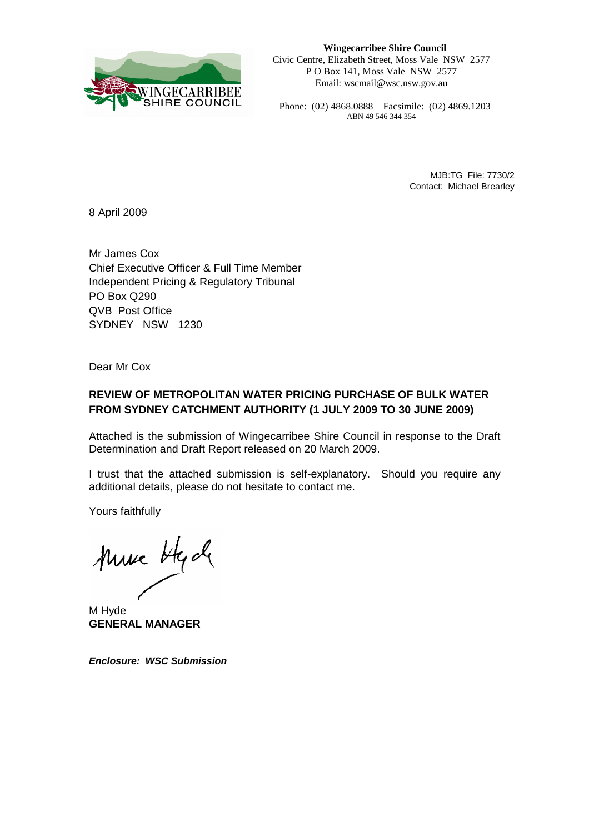

**Wingecarribee Shire Council**  Civic Centre, Elizabeth Street, Moss Vale NSW 2577 P O Box 141, Moss Vale NSW 2577 Email: wscmail@wsc.nsw.gov.au

Phone: (02) 4868.0888 Facsimile: (02) 4869.1203 ABN 49 546 344 354

> MJB:TG File: 7730/2 Contact: Michael Brearley

8 April 2009

Mr James Cox Chief Executive Officer & Full Time Member Independent Pricing & Regulatory Tribunal PO Box Q290 QVB Post Office SYDNEY NSW 1230

Dear Mr Cox

### **REVIEW OF METROPOLITAN WATER PRICING PURCHASE OF BULK WATER FROM SYDNEY CATCHMENT AUTHORITY (1 JULY 2009 TO 30 JUNE 2009)**

Attached is the submission of Wingecarribee Shire Council in response to the Draft Determination and Draft Report released on 20 March 2009.

I trust that the attached submission is self-explanatory. Should you require any additional details, please do not hesitate to contact me.

Yours faithfully

Muse Hyde

M Hyde **GENERAL MANAGER** 

**Enclosure: WSC Submission**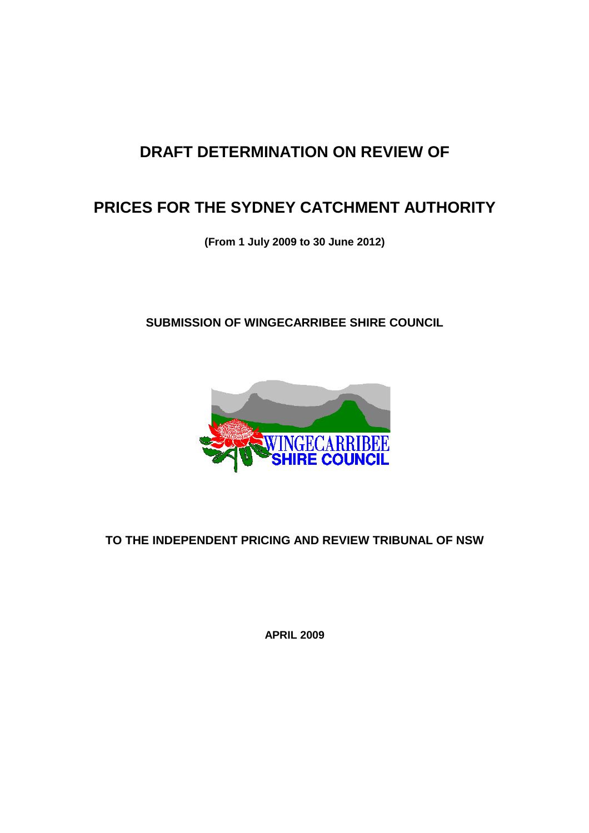# **DRAFT DETERMINATION ON REVIEW OF**

# **PRICES FOR THE SYDNEY CATCHMENT AUTHORITY**

**(From 1 July 2009 to 30 June 2012)** 

**SUBMISSION OF WINGECARRIBEE SHIRE COUNCIL** 



## **TO THE INDEPENDENT PRICING AND REVIEW TRIBUNAL OF NSW**

**APRIL 2009**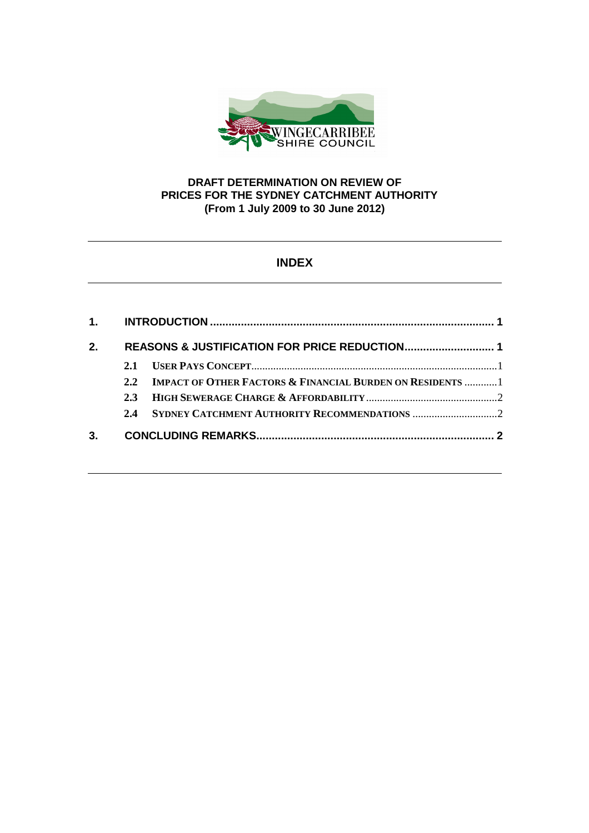

### **DRAFT DETERMINATION ON REVIEW OF PRICES FOR THE SYDNEY CATCHMENT AUTHORITY (From 1 July 2009 to 30 June 2012)**

### **INDEX**

| 2.1  |                                                                                                             |
|------|-------------------------------------------------------------------------------------------------------------|
| 2.2. |                                                                                                             |
| 2.3  |                                                                                                             |
| 2.4  |                                                                                                             |
|      |                                                                                                             |
|      | REASONS & JUSTIFICATION FOR PRICE REDUCTION 1<br>IMPACT OF OTHER FACTORS & FINANCIAL BURDEN ON RESIDENTS  1 |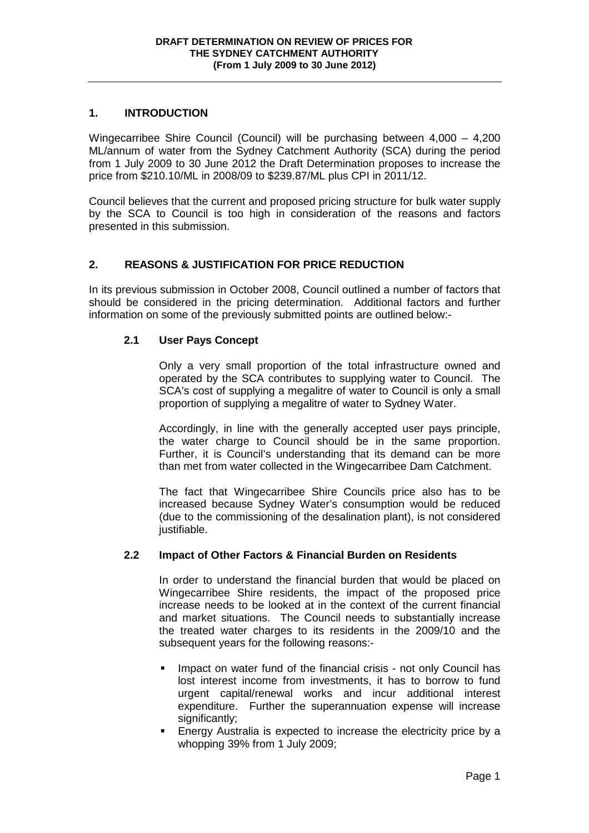#### **1. INTRODUCTION**

Wingecarribee Shire Council (Council) will be purchasing between 4,000 – 4,200 ML/annum of water from the Sydney Catchment Authority (SCA) during the period from 1 July 2009 to 30 June 2012 the Draft Determination proposes to increase the price from \$210.10/ML in 2008/09 to \$239.87/ML plus CPI in 2011/12.

Council believes that the current and proposed pricing structure for bulk water supply by the SCA to Council is too high in consideration of the reasons and factors presented in this submission.

#### **2. REASONS & JUSTIFICATION FOR PRICE REDUCTION**

In its previous submission in October 2008, Council outlined a number of factors that should be considered in the pricing determination. Additional factors and further information on some of the previously submitted points are outlined below:-

#### **2.1 User Pays Concept**

Only a very small proportion of the total infrastructure owned and operated by the SCA contributes to supplying water to Council. The SCA's cost of supplying a megalitre of water to Council is only a small proportion of supplying a megalitre of water to Sydney Water.

Accordingly, in line with the generally accepted user pays principle, the water charge to Council should be in the same proportion. Further, it is Council's understanding that its demand can be more than met from water collected in the Wingecarribee Dam Catchment.

The fact that Wingecarribee Shire Councils price also has to be increased because Sydney Water's consumption would be reduced (due to the commissioning of the desalination plant), is not considered justifiable.

#### **2.2 Impact of Other Factors & Financial Burden on Residents**

In order to understand the financial burden that would be placed on Wingecarribee Shire residents, the impact of the proposed price increase needs to be looked at in the context of the current financial and market situations. The Council needs to substantially increase the treated water charges to its residents in the 2009/10 and the subsequent years for the following reasons:-

- **IMPACT ON WATEL THANGE OF THE FINANCIAL CRISE not only Council has** lost interest income from investments, it has to borrow to fund urgent capital/renewal works and incur additional interest expenditure. Further the superannuation expense will increase significantly;
- Energy Australia is expected to increase the electricity price by a whopping 39% from 1 July 2009;